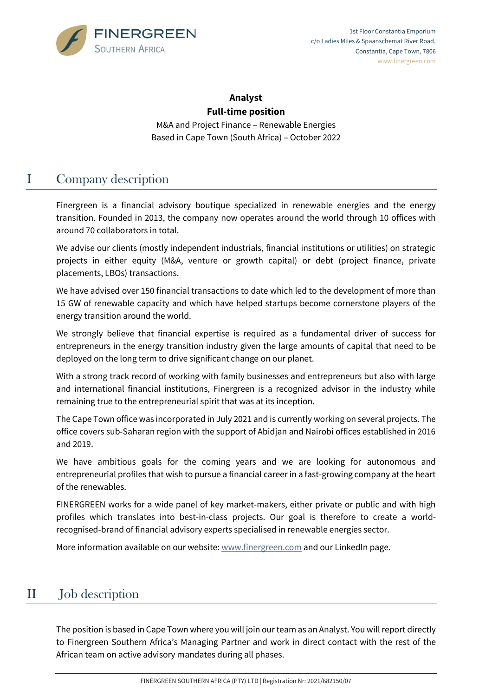

#### **Analyst Full-time position**

M&A and Project Finance – Renewable Energies Based in Cape Town (South Africa) – October 2022

# I Company description

Finergreen is a financial advisory boutique specialized in renewable energies and the energy transition. Founded in 2013, the company now operates around the world through 10 offices with around 70 collaborators in total.

We advise our clients (mostly independent industrials, financial institutions or utilities) on strategic projects in either equity (M&A, venture or growth capital) or debt (project finance, private placements, LBOs) transactions.

We have advised over 150 financial transactions to date which led to the development of more than 15 GW of renewable capacity and which have helped startups become cornerstone players of the energy transition around the world.

We strongly believe that financial expertise is required as a fundamental driver of success for entrepreneurs in the energy transition industry given the large amounts of capital that need to be deployed on the long term to drive significant change on our planet.

With a strong track record of working with family businesses and entrepreneurs but also with large and international financial institutions, Finergreen is a recognized advisor in the industry while remaining true to the entrepreneurial spirit that was at its inception.

The Cape Town office was incorporated in July 2021 and is currently working on several projects. The office covers sub-Saharan region with the support of Abidjan and Nairobi offices established in 2016 and 2019.

We have ambitious goals for the coming years and we are looking for autonomous and entrepreneurial profiles that wish to pursue a financial career in a fast-growing company at the heart of the renewables.

FINERGREEN works for a wide panel of key market-makers, either private or public and with high profiles which translates into best-in-class projects. Our goal is therefore to create a worldrecognised-brand of financial advisory experts specialised in renewable energies sector.

More information available on our website: [www.finergreen.com](http://www.finergreen.com/) and our LinkedIn page.

## II Job description

The position is based in Cape Town where you will join our team as an Analyst. You will report directly to Finergreen Southern Africa's Managing Partner and work in direct contact with the rest of the African team on active advisory mandates during all phases.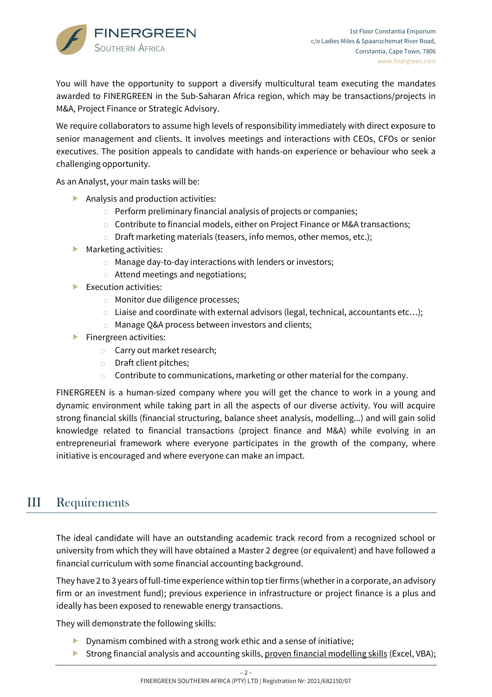

You will have the opportunity to support a diversify multicultural team executing the mandates awarded to FINERGREEN in the Sub-Saharan Africa region, which may be transactions/projects in M&A, Project Finance or Strategic Advisory.

We require collaborators to assume high levels of responsibility immediately with direct exposure to senior management and clients. It involves meetings and interactions with CEOs, CFOs or senior executives. The position appeals to candidate with hands-on experience or behaviour who seek a challenging opportunity.

As an Analyst, your main tasks will be:

- Analysis and production activities:
	- $\circ$  Perform preliminary financial analysis of projects or companies;
	- o Contribute to financial models, either on Project Finance or M&A transactions;
	- o Draft marketing materials (teasers, info memos, other memos, etc.);
- **Marketing activities:** 
	- o Manage day-to-day interactions with lenders or investors;
	- o Attend meetings and negotiations;
- $\blacktriangleright$  Execution activities:
	- o Monitor due diligence processes;
	- $\circ$  Liaise and coordinate with external advisors (legal, technical, accountants etc...);
	- o Manage Q&A process between investors and clients;
- $\blacktriangleright$  Finergreen activities:
	- o Carry out market research;
	- o Draft client pitches;
	- $\circ$  Contribute to communications, marketing or other material for the company.

FINERGREEN is a human-sized company where you will get the chance to work in a young and dynamic environment while taking part in all the aspects of our diverse activity. You will acquire strong financial skills (financial structuring, balance sheet analysis, modelling...) and will gain solid knowledge related to financial transactions (project finance and M&A) while evolving in an entrepreneurial framework where everyone participates in the growth of the company, where initiative is encouraged and where everyone can make an impact.

### III Requirements

The ideal candidate will have an outstanding academic track record from a recognized school or university from which they will have obtained a Master 2 degree (or equivalent) and have followed a financial curriculum with some financial accounting background.

They have 2 to 3 years of full-time experience within top tier firms (whether in a corporate, an advisory firm or an investment fund); previous experience in infrastructure or project finance is a plus and ideally has been exposed to renewable energy transactions.

They will demonstrate the following skills:

- $\triangleright$  Dynamism combined with a strong work ethic and a sense of initiative;
- ▶ Strong financial analysis and accounting skills, proven financial modelling skills (Excel, VBA);